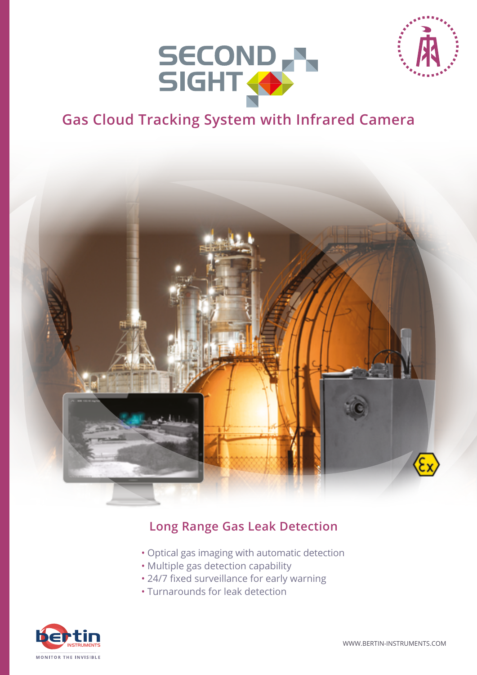



## **Gas Cloud Tracking System with Infrared Camera**



## **Long Range Gas Leak Detection**

- Optical gas imaging with automatic detection
- Multiple gas detection capability
- 24/7 fixed surveillance for early warning
- Turnarounds for leak detection